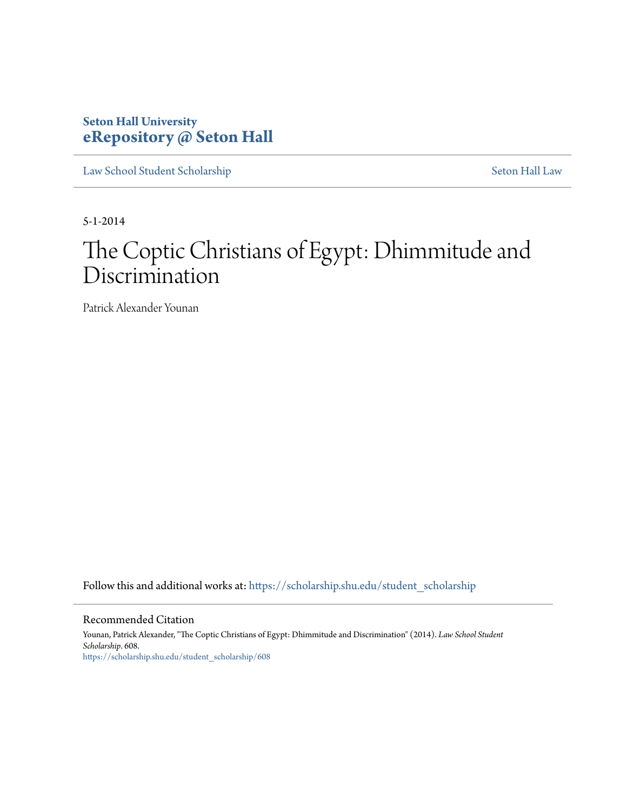# **Seton Hall University [eRepository @ Seton Hall](https://scholarship.shu.edu?utm_source=scholarship.shu.edu%2Fstudent_scholarship%2F608&utm_medium=PDF&utm_campaign=PDFCoverPages)**

[Law School Student Scholarship](https://scholarship.shu.edu/student_scholarship?utm_source=scholarship.shu.edu%2Fstudent_scholarship%2F608&utm_medium=PDF&utm_campaign=PDFCoverPages) [Seton Hall Law](https://scholarship.shu.edu/law?utm_source=scholarship.shu.edu%2Fstudent_scholarship%2F608&utm_medium=PDF&utm_campaign=PDFCoverPages)

5-1-2014

# The Coptic Christians of Egypt: Dhimmitude and Discrimination

Patrick Alexander Younan

Follow this and additional works at: [https://scholarship.shu.edu/student\\_scholarship](https://scholarship.shu.edu/student_scholarship?utm_source=scholarship.shu.edu%2Fstudent_scholarship%2F608&utm_medium=PDF&utm_campaign=PDFCoverPages)

#### Recommended Citation

Younan, Patrick Alexander, "The Coptic Christians of Egypt: Dhimmitude and Discrimination" (2014). *Law School Student Scholarship*. 608. [https://scholarship.shu.edu/student\\_scholarship/608](https://scholarship.shu.edu/student_scholarship/608?utm_source=scholarship.shu.edu%2Fstudent_scholarship%2F608&utm_medium=PDF&utm_campaign=PDFCoverPages)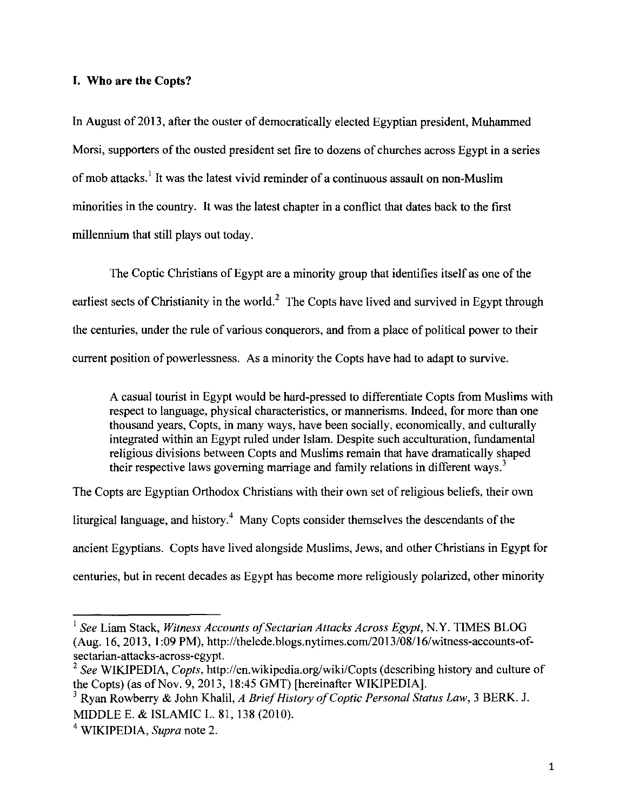#### **I. Who are the Copts?**

In August of 2013, after the ouster of democratically elected Egyptian president, Muhammed Morsi, supporters of the ousted president set fire to dozens of churches across Egypt in a series of mob attacks.<sup>1</sup> It was the latest vivid reminder of a continuous assault on non-Muslim minorities in the country. It was the latest chapter in a conflict that dates back to the first millennium that still plays out today.

The Coptic Christians of Egypt are a minority group that identifies itself as one of the earliest sects of Christianity in the world.<sup>2</sup> The Copts have lived and survived in Egypt through the centuries, under the rule of various conquerors, and from a place of political power to their current position of powerlessness. As a minority the Copts have had to adapt to survive.

A casual tourist in Egypt would be hard-pressed to differentiate Copts from Muslims with respect to language, physical characteristics, or mannerisms. Indeed, for more than one thousand years, Copts, in many ways, have been socially, economically, and culturally integrated within an Egypt ruled under Islam. Despite such acculturation, fundamental religious divisions between Copts and Muslims remain that have dramatically shaped their respective laws governing marriage and family relations in different ways.<sup>3</sup>

The Copts are Egyptian Orthodox Christians with their own set of religious beliefs, their own liturgical language, and history.<sup>4</sup> Many Copts consider themselves the descendants of the ancient Egyptians. Copts have lived alongside Muslims, Jews, and other Christians in Egypt for centuries, but in recent decades as Egypt has become more religiously polarized, other minority

<sup>1</sup>*See* Liam Stack, *Witness Accounts of Sectarian Attacks Across Egypt,* N.Y. TIMES BLOG (Aug. 16, 2013, I :09 PM), http://thelede.blogs.nytimes.com/20 13/08/16/witness-accounts-ofsectarian-attacks-across-egypt.

<sup>2</sup>*See* WIKIPEDIA, *Copts,* http://en.wikipedia.org/wiki/Copts (describing history and culture of the Copts) (as of Nov. 9, 2013, 18:45 GMT) [hereinafter WIKIPEDIA].

<sup>3</sup> Ryan Rowberry & John Khalil, *A Brief History of Coptic Personal Status Law,* 3 BERK. J. MIDDLE E. & ISLAMIC L. 81, 138 (2010).

<sup>4</sup> WIKIPEDIA, *Supra* note 2.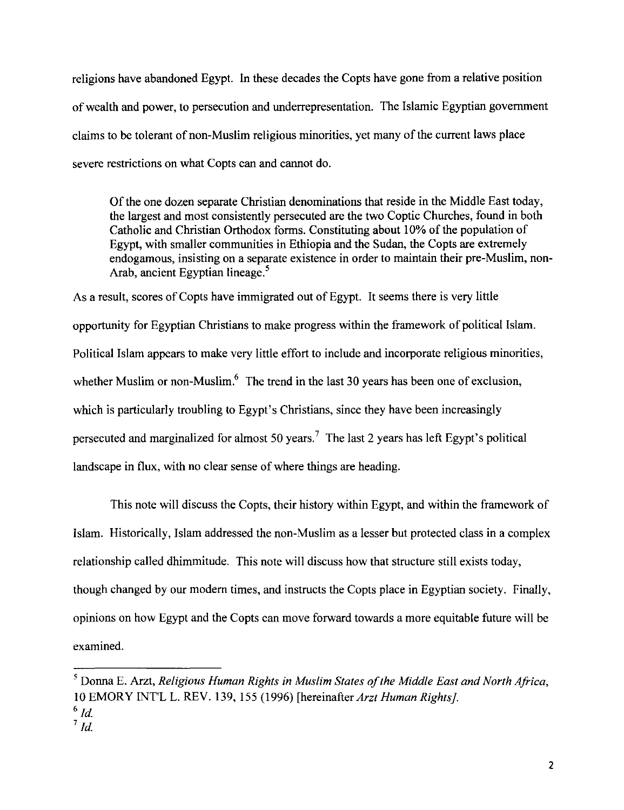religions have abandoned Egypt. In these decades the Copts have gone from a relative position of wealth and power, to persecution and underrepresentation. The Islamic Egyptian goverrunent claims to be tolerant of non-Muslim religious minorities, yet many of the current laws place severe restrictions on what Copts can and cannot do.

Of the one dozen separate Christian denominations that reside in the Middle East today, the largest and most consistently persecuted are the two Coptic Churches, found in both Catholic and Christian Orthodox forms. Constituting about I 0% of the population of Egypt, with smaller communities in Ethiopia and the Sudan, the Copts are extremely endogamous, insisting on a separate existence in order to maintain their pre-Muslim, non-Arab, ancient Egyptian lineage.<sup>5</sup>

As a result, scores of Copts have immigrated out of Egypt. It seems there is very little opportunity for Egyptian Christians to make progress within the framework of political Islam. Political Islam appears to make very little effort to include and incorporate religious minorities, whether Muslim or non-Muslim.<sup>6</sup> The trend in the last 30 years has been one of exclusion, which is particularly troubling to Egypt's Christians, since they have been increasingly persecuted and marginalized for almost 50 years.<sup>7</sup> The last 2 years has left Egypt's political landscape in flux, with no clear sense of where things are heading.

This note will discuss the Copts, their history within Egypt, and within the framework of Islam. Historically, Islam addressed the non-Muslim as a lesser but protected class in a complex relationship called dhimmitude. This note will discuss how that structure still exists today, though changed by our modem times, and instructs the Copts place in Egyptian society. Finally, opinions on how Egypt and the Copts can move forward towards a more equitable future will be examined.

<sup>5</sup> Donna E. Arzt, *Religious Human Rights* in *Muslim States of the Middle East and North Africa,*  10 EMORY INT'L L. REV. 139, !55 (1996) [hereinafter *Arzt Human Rights].* 

 $^6$  *Id.* 

<sup>7</sup>*ld.*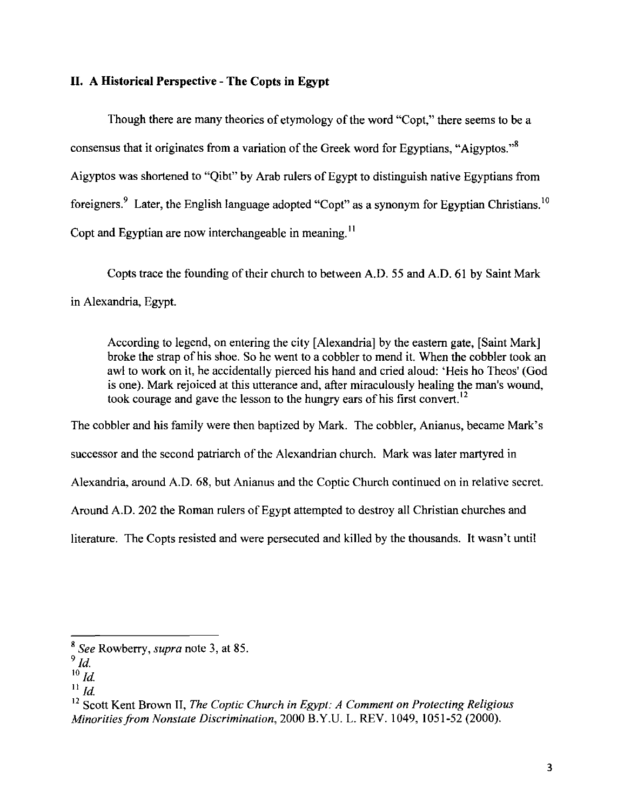## **II. A Historical Perspective - The Copts in Egypt**

Though there are many theories of etymology of the word "Copt," there seems to be a consensus that it originates from a variation of the Greek word for Egyptians, "Aigyptos."8 Aigyptos was shortened to "Qibt" by Arab rulers of Egypt to distinguish native Egyptians from foreigners.<sup>9</sup> Later, the English language adopted "Copt" as a synonym for Egyptian Christians.<sup>10</sup> Copt and Egyptian are now interchangeable in meaning.<sup>11</sup>

Copts trace the founding of their church to between A.D. 55 and A.D. 61 by Saint Mark in Alexandria, Egypt.

According to legend, on entering the city [Alexandria] by the eastern gate, [Saint Mark] broke the strap of his shoe. So he went to a cobbler to mend it. When the cobbler took an awl to work on it, he accidentally pierced his hand and cried aloud: 'Heis ho Theos' (God is one). Mark rejoiced at this utterance and, after miraculously healing the man's wound, took courage and gave the lesson to the hungry ears of his first convert. <sup>12</sup>

The cobbler and his family were then baptized by Mark. The cobbler, Anianus, became Mark's

successor and the second patriarch of the Alexandrian church. Mark was later martyred in

Alexandria, around A.D. 68, but Anianus and the Coptic Church continued on in relative secret.

Around A.D. 202 the Roman rulers of Egypt attempted to destroy all Christian churches and

literature. The Copts resisted and were persecuted and killed by the thousands. It wasn't until

<sup>8</sup>*See* Rowberry, *supra* note 3, at 85.

 $9$   $ld.$ 

 $\overline{10}$  *Id.* 

 $^{11}$  *Id.* 

<sup>12</sup> Scott Kent Brown II, *The Coptic Church in Egypt: A Comment on Protecting Religious Minorities from Nonstate Discrimination,* 2000 B.Y.U. L. REV. 1049, 1051-52 (2000).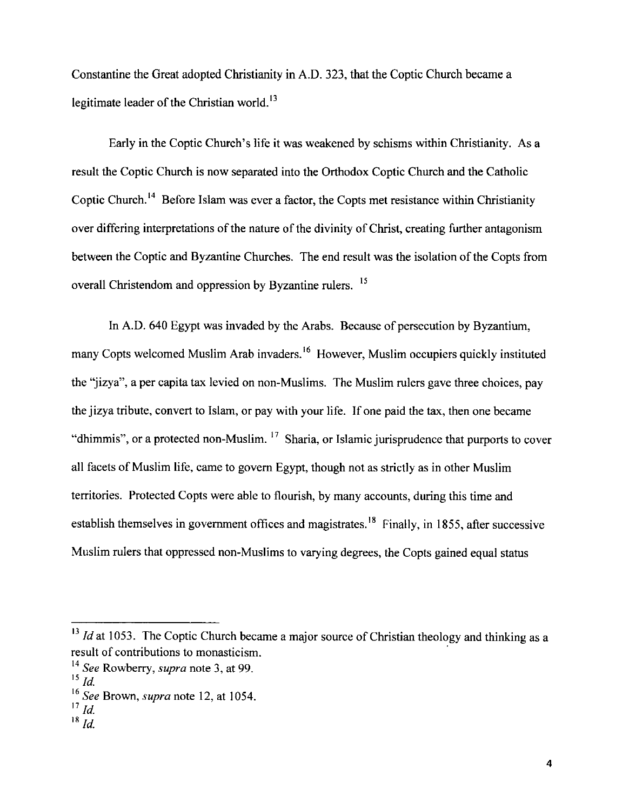Constantine the Great adopted Christianity in A.D. 323, that the Coptic Church became a legitimate leader of the Christian world.<sup>13</sup>

Early in the Coptic Church's life it was weakened by schisms within Christianity. As a result the Coptic Church is now separated into the Orthodox Coptic Church and the Catholic Coptic Church.<sup>14</sup> Before Islam was ever a factor, the Copts met resistance within Christianity over differing interpretations of the nature of the divinity of Christ, creating further antagonism between the Coptic and Byzantine Churches. The end result was the isolation of the Copts from overall Christendom and oppression by Byzantine rulers. <sup>15</sup>

In A.D. 640 Egypt was invaded by the Arabs. Because of persecution by Byzantium, many Copts welcomed Muslim Arab invaders.<sup>16</sup> However, Muslim occupiers quickly instituted the "jizya", a per capita tax levied on non-Muslims. The Muslim rulers gave three choices, pay the jizya tribute, convert to Islam, or pay with your life. If one paid the tax, then one became "dhimmis", or a protected non-Muslim.  $17$  Sharia, or Islamic jurisprudence that purports to cover all facets of Muslim life, came to govern Egypt, though not as strictly as in other Muslim territories. Protected Copts were able to flourish, by many accounts, during this time and establish themselves in government offices and magistrates.<sup>18</sup> Finally, in 1855, after successive Muslim rulers that oppressed non-Muslims to varying degrees, the Copts gained equal status

<sup>&</sup>lt;sup>13</sup> *Id* at 1053. The Coptic Church became a major source of Christian theology and thinking as a result of contributions to monasticism.

<sup>14</sup>*See* Rowberry, *supra* note 3, at 99.

 $^{15}$  *Id.* 

<sup>16</sup>*See* Brown, *supra* note 12, at 1054.

<sup>17</sup>*!d.* 

<sup>18</sup>*/d.*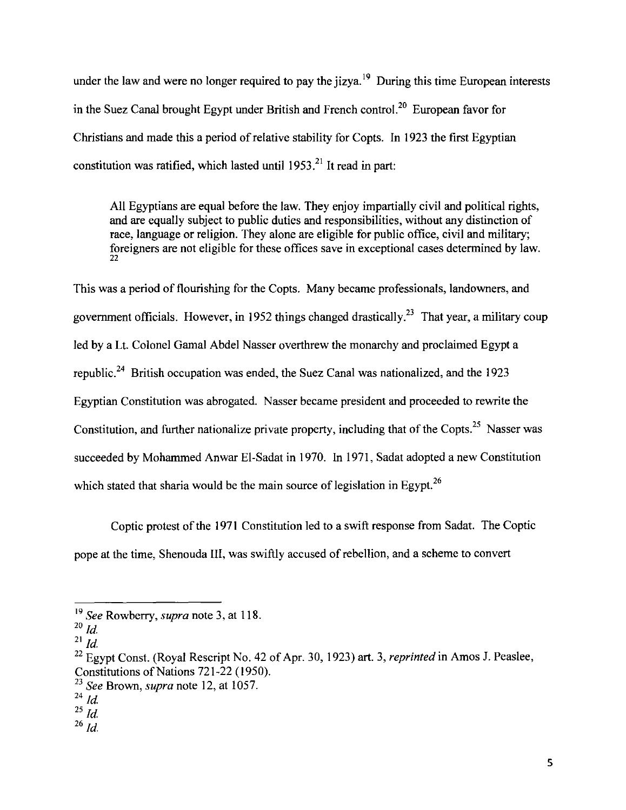under the law and were no longer required to pay the jizya.<sup>19</sup> During this time European interests in the Suez Canal brought Egypt under British and French control.<sup>20</sup> European favor for Christians and made this a period of relative stability for Copts. In 1923 the first Egyptian constitution was ratified, which lasted until  $1953$ <sup>21</sup> It read in part:

All Egyptians are equal before the law. They enjoy impartially civil and political rights, and are equally subject to public duties and responsibilities, without any distinction of race, language or religion. They alone are eligible for public office, civil and military; foreigners are not eligible for these offices save in exceptional cases determined by law. 22

This was a period of flourishing for the Copts. Many became professionals, landowners, and government officials. However, in 1952 things changed drastically.<sup>23</sup> That year, a military coup led by a Lt. Colonel Gamal Abdel Nasser overthrew the monarchy and proclaimed Egypt a republic. 24 British occupation was ended, the Suez Canal was nationalized, and the 1923 Egyptian Constitution was abrogated. Nasser became president and proceeded to rewrite the Constitution, and further nationalize private property, including that of the Copts.<sup>25</sup> Nasser was succeeded by Mohammed Anwar El-Sadat in 1970. In 1971, Sadat adopted a new Constitution which stated that sharia would be the main source of legislation in Egypt.<sup>26</sup>

Coptic protest of the 1971 Constitution led to a swift response from Sadat. The Coptic pope at the time, Shenouda III, was swiftly accused of rebellion, and a scheme to convert

<sup>19</sup>*See* Rowberry, *supra* note 3, at 118.

 $^{20}$  *ld.* 

 $^{21}$  *Id.* 

<sup>22</sup> Egypt Const. (Royal Rescript No. 42 of Apr. 30, 1923) art. 3, *reprinted* in Amos J. Peaslee, Constitutions of Nations 721-22 (1950).

<sup>&</sup>lt;sup>23</sup> See Brown, *supra* note 12, at 1057.

 $^{24}$  *Id.* 

 $^{25}$  *Id.* 

 $^{26}$  *ld.*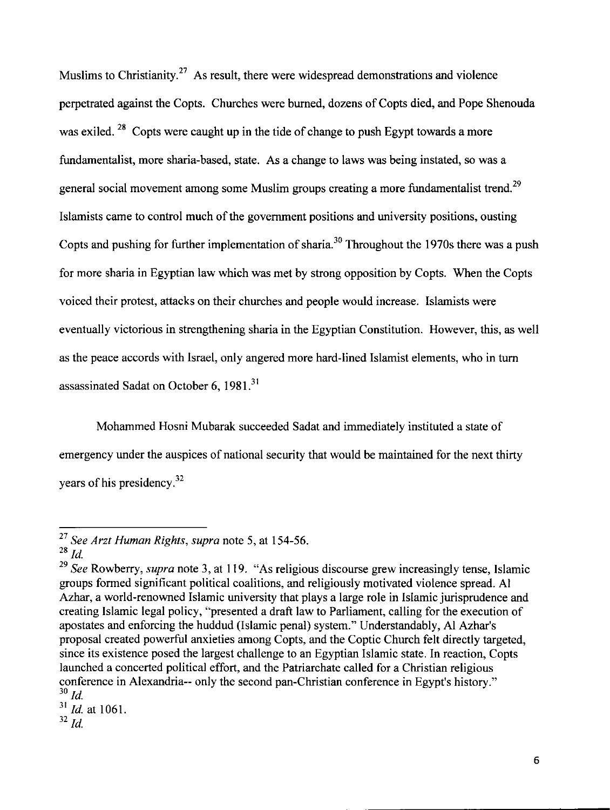Muslims to Christianity.<sup>27</sup> As result, there were widespread demonstrations and violence perpetrated against the Copts. Churches were burned, dozens of Copts died, and Pope Shenouda was exiled. <sup>28</sup> Copts were caught up in the tide of change to push Egypt towards a more fundamentalist, more sharia-based, state. As a change to laws was being instated, so was a general social movement among some Muslim groups creating a more fundamentalist trend.<sup>29</sup> Islamists came to control much of the government positions and university positions, ousting Copts and pushing for further implementation of sharia.<sup>30</sup> Throughout the 1970s there was a push for more sharia in Egyptian law which was met by strong opposition by Copts. When the Copts voiced their protest, attacks on their churches and people would increase. Islarnists were eventually victorious in strengthening sharia in the Egyptian Constitution. However, this, as well as the peace accords with Israel, only angered more hard-lined Islamist elements, who in turn assassinated Sadat on October 6, 1981.<sup>31</sup>

Mohammed Hosni Mubarak succeeded Sadat and immediately instituted a state of emergency under the auspices of national security that would be maintained for the next thirty years of his presidency. 32

<sup>31</sup>*!d.* at I061.  $32$  *Id.* 

<sup>27</sup>*See Arzt Human Rights, supra* note 5, at 154-56.

 $28$   $d$ .

<sup>&</sup>lt;sup>29</sup> See Rowberry, *supra* note 3, at 119. "As religious discourse grew increasingly tense, Islamic groups formed significant political coalitions, and religiously motivated violence spread. AI Azhar, a world-renowned Islamic university that plays a large role in Islamic jurisprudence and creating Islamic legal policy, "presented a draft law to Parliament, calling for the execution of apostates and enforcing the huddud (Islamic penal) system." Understandably, AI Azhar's proposal created powerful anxieties among Copts, and the Coptic Church felt directly targeted, since its existence posed the largest challenge to an Egyptian Islamic state. In reaction, Copts launched a concerted political effort, and the Patriarchate called for a Christian religious conference in Alexandria-- only the second pan-Christian conference in Egypt's history."  $30$   $\overline{ld}$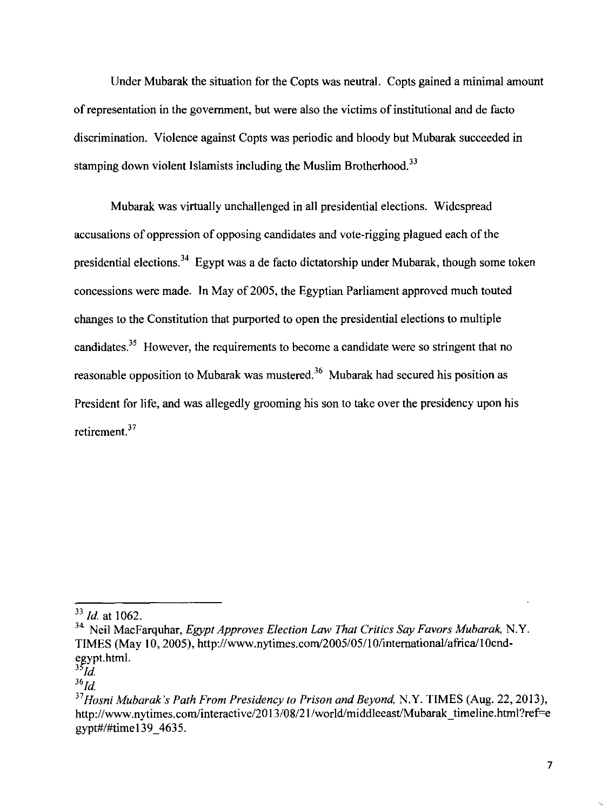Under Mubarak the situation for the Copts was neutral. Copts gained a minimal amount of representation in the government, but were also the victims of institutional and de facto discrimination. Violence against Copts was periodic and bloody but Mubarak succeeded in stamping down violent Islamists including the Muslim Brotherhood.<sup>33</sup>

Mubarak was virtually unchallenged in all presidential elections. Widespread accusations of oppression of opposing candidates and vote-rigging plagued each of the presidential elections.<sup>34</sup> Egypt was a de facto dictatorship under Mubarak, though some token concessions were made. In May of 2005, the Egyptian Parliament approved much touted changes to the Constitution that purported to open the presidential elections to multiple candidates.<sup>35</sup> However, the requirements to become a candidate were so stringent that no reasonable opposition to Mubarak was mustered.<sup>36</sup> Mubarak had secured his position as President for life, and was allegedly grooming his son to take over the presidency upon his retirement. 37

<sup>&</sup>lt;sup>33</sup> *Id.* at 1062.

<sup>34</sup> Neil MacFarquhar, *Egypt Approves Election Law That Critics Say Favors Mubarak,* N.Y. TIMES (May 10, 2005), http://www.nytimes.com/2005/05/10/international/africa/10cndegypt.html.

<sup>3~</sup>d.

 $36$ *Id.* 

<sup>37</sup>*Hosni Mubarak's Path From Presidency to Prison and Beyond,* N.Y. TIMES (Aug. 22, 2013), http://www.nytimes.com/interactive/2013/08/21/world/middleeast/Mubarak timeline.html?ref=e gypt#/#time 139 \_ 4635.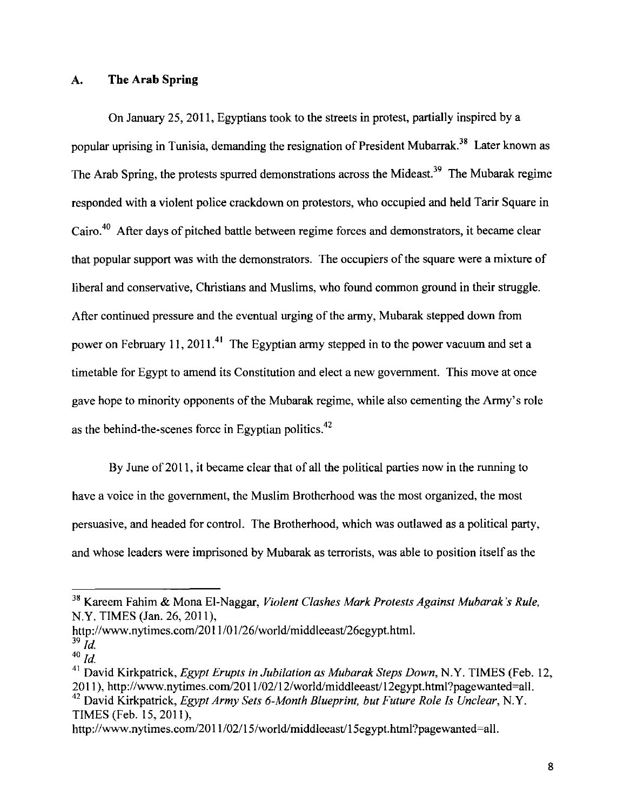#### A. **The Arab Spring**

On January 25, 2011, Egyptians took to the streets in protest, partially inspired by a popular uprising in Tunisia, demanding the resignation of President Mubarrak.<sup>38</sup> Later known as The Arab Spring, the protests spurred demonstrations across the Mideast.<sup>39</sup> The Mubarak regime responded with a violent police crackdown on protestors, who occupied and held Tarir Square in Cairo.<sup>40</sup> After days of pitched battle between regime forces and demonstrators, it became clear that popular support was with the demonstrators. The occupiers of the square were a mixture of liberal and conservative, Christians and Muslims, who found common ground in their struggle. After continued pressure and the eventual urging of the army, Mubarak stepped down from power on February 11, 2011.<sup>41</sup> The Egyptian army stepped in to the power vacuum and set a timetable for Egypt to amend its Constitution and elect a new government. This move at once gave hope to minority opponents of the Mubarak regime, while also cementing the Army's role as the behind-the-scenes force in Egyptian politics.<sup>42</sup>

By June of 2011, it became clear that of all the political parties now in the running to have a voice in the government, the Muslim Brotherhood was the most organized, the most persuasive, and headed for control. The Brotherhood, which was outlawed as a political party, and whose leaders were imprisoned by Mubarak as terrorists, was able to position itself as the

http://www.nytimes.com/2011/01/26/world/middleeast/26egypt.html.

<sup>38</sup> Kareem Fahim & Mona El-Naggar, *Violent Clashes Mark Protests Against Mubarak 's Rule,*  N.Y. TIMES (Jan. 26, 2011),

 $39$  *Id.*  $40$   $\overline{ld}$ .

<sup>41</sup> David Kirkpatrick, *Egypt Erupts in Jubilation as Mubarak Steps Down,* N.Y. TIMES (Feb. 12, 2011), http://www.nytimes.com/2011/02/12/world/middleeast/12egypt.html?pagewanted=all. 42 David Kirkpatrick, *Egypt Army Sets 6-Month Blueprint, but Future Role Is Unclear,* N.Y. TIMES (Feb. 15, 2011 ),

http://www.nytimes.com/2011/02/15/world/middleeast/15egypt.html?pagewanted=all.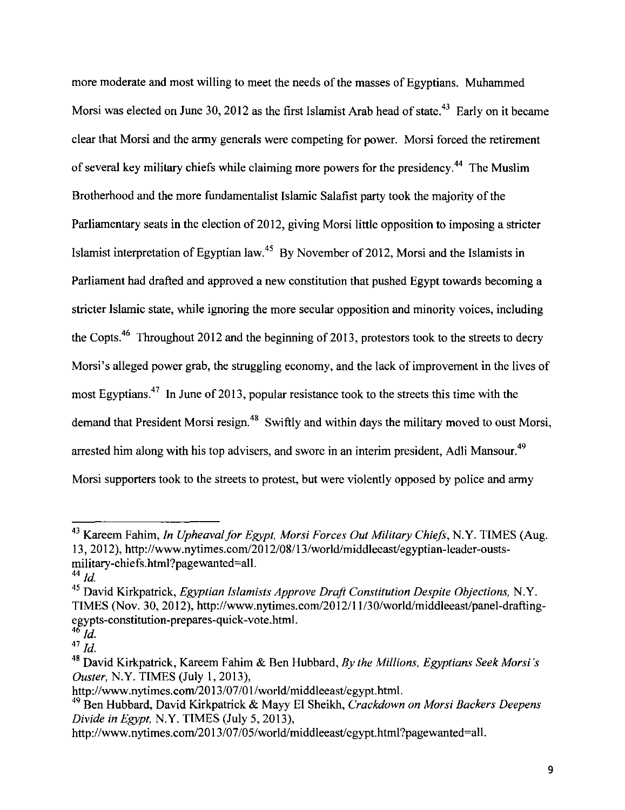more moderate and most willing to meet the needs of the masses of Egyptians. Muhammed Morsi was elected on June 30, 2012 as the first Islamist Arab head of state.<sup>43</sup> Early on it became clear that Morsi and the army generals were competing for power. Morsi forced the retirement of several key military chiefs while claiming more powers for the presidency.44 The Muslim Brotherhood and the more fundamentalist Islamic Salafist party took the majority of the Parliamentary seats in the election of 2012, giving Morsi little opposition to imposing a stricter Islamist interpretation of Egyptian law.<sup>45</sup> By November of 2012, Morsi and the Islamists in Parliament had drafted and approved a new constitution that pushed Egypt towards becoming a stricter Islamic state, while ignoring the more secular opposition and minority voices, including the Copts.<sup>46</sup> Throughout 2012 and the beginning of 2013, protestors took to the streets to decry Morsi's alleged power grab, the struggling economy, and the lack of improvement in the lives of most Egyptians.<sup>47</sup> In June of 2013, popular resistance took to the streets this time with the demand that President Morsi resign.<sup>48</sup> Swiftly and within days the military moved to oust Morsi, arrested him along with his top advisers, and swore in an interim president, Adli Mansour.<sup>49</sup> Morsi supporters took to the streets to protest, but were violently opposed by police and army

<sup>43</sup> Kareem Fahim, *In Upheaval for Egypt, Morsi Forces Out Military Chiefs,* N.Y. TIMES (Aug. 13, 2012), http://www.nytimes.com/2012/08/13/world/middleeast/egyptian-leader-oustsmilitary-chiefs.html?pagewanted=all.

 $^{44}$  *ld.* 

<sup>45</sup> David Kirkpatrick, *Egyptian Islamists Approve Draft Constitution Despite Objections,* N.Y. TIMES (Nov. 30, 2012), http://www.nytimes.com/2012111/30/wor1d/midd1eeast/pane1-draftingegypts-constitution-prepares-quick-vote.html.

<sup>46&</sup>quot; */d.* 

 $47\frac{1}{1}$ .

<sup>48</sup> David Kirkpatrick, Kareem Fahim & Ben Hubbard, *By the Millions, Egyptians Seek Morsi 's Ouster,* N.Y. TIMES (July I, 2013),

http://www.nytimes.com/2013/07/01/world/middleeast/egypt.html.

<sup>49</sup> Ben Hubbard, David Kirkpatrick & Mayy El Sheikh, *Crackdown on Morsi Backers Deepens Divide in Egypt,* N.Y. TIMES (July 5, 2013),

http://www.nytimes.com/2013/07/05/world/middleeast/egypt.html?pagewanted=all.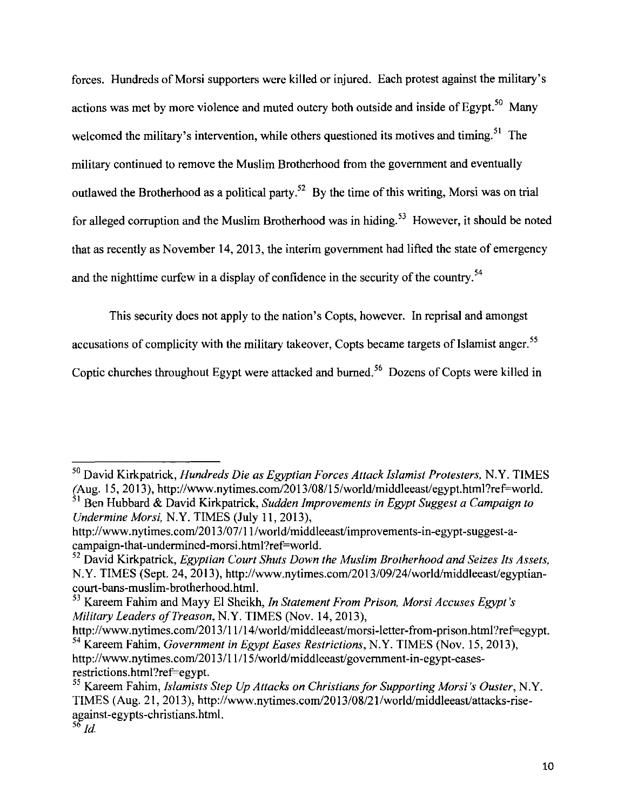forces. Hundreds of Morsi supporters were killed or injured. Each protest against the military's actions was met by more violence and muted outcry both outside and inside of Egypt.<sup>50</sup> Many welcomed the military's intervention, while others questioned its motives and timing.<sup>51</sup> The military continued to remove the Muslim Brotherhood from the government and eventually outlawed the Brotherhood as a political party.<sup>52</sup> By the time of this writing, Morsi was on trial for alleged corruption and the Muslim Brotherhood was in hiding.<sup>53</sup> However, it should be noted that as recently as November 14,2013, the interim government had lifted the state of emergency and the nighttime curfew in a display of confidence in the security of the country.<sup>54</sup>

This security does not apply to the nation's Copts, however. In reprisal and amongst

accusations of complicity with the military takeover, Copts became targets of Islamist anger.<sup>55</sup>

Coptic churches throughout Egypt were attacked and burned.<sup>56</sup> Dozens of Copts were killed in

<sup>50</sup> David Kirkpatrick, *Hundreds Die as Egyptian Forces Attack Islamist Protesters,* N.Y. TIMES *(Aug.* 15, 20 13 ), http://www.nytimes.com/20 13/08/15/world/middleeast/egypt.html ?ref=world. 51 Ben Hubbard & David Kirkpatrick, *Sudden Improvements in Egypt Suggest a Campaign to* 

*Undermine Morsi,* N.Y. TIMES (July II, 2013),

http://www.nytimes.com/2013/07/11/world/middleeast/improvements-in-egypt-suggest-acampaign-that-undermined-morsi.html?ref=world.

<sup>52</sup> David Kirkpatrick, *Egyptian Court Shuts Down the Muslim Brotherhood and Seizes Its Assets,*  N.Y. TIMES (Sept. 24, 2013 ), http://www.nytimes.com/20 13/09/24/world/middleeast/egyptiancourt -bans-muslim-brotherhood.html.

<sup>53</sup> Kareem Fahim and Mayy El Sheikh, *In Statement From Prison, Morsi Accuses Egypt's Military Leaders of Treason,* N.Y. TIMES (Nov. 14, 2013),

http://www.nytimes.com/2013/11/14/world/middleeast/morsi-letter-from-prison.html?ref=egypt. 54 Kareem Fahim, *Government in Egypt Eases Restrictions,* N.Y. TIMES (Nov. 15, 2013), http://www.nytimes.com/20 13/11/15/world/middleeast/government-in-egypt-easesrestrictions.html?ref=egypt.

<sup>55</sup> Kareem Fahim, *Islamists Step Up Attacks on Christians for Supporting Morsi 's Ouster,* N.Y. TIMES (Aug. 21, 2013), http://www.nytimes.com/20 13/08/21/world/middleeast/attacks-riseagainst-egypts-christians.html.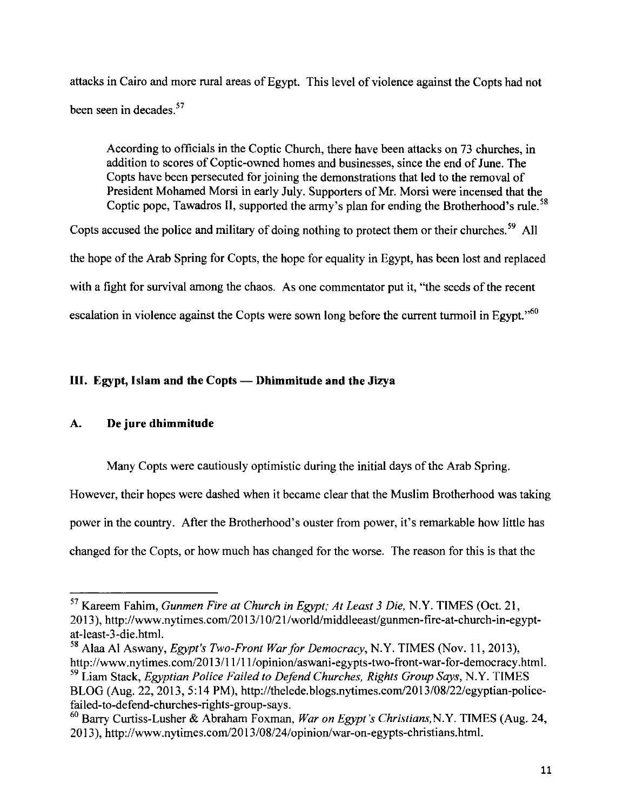attacks in Cairo and more rural areas of Egypt. This level of violence against the Copts had not been seen in decades. 57

According to officials in the Coptic Church, there have been attacks on 73 churches, in addition to scores of Coptic-owned homes and businesses, since the end of June. The Copts have been persecuted for joining the demonstrations that led to the removal of President Mohamed Morsi in early July. Supporters of Mr. Morsi were incensed that the Coptic pope, Tawadros II, supported the army's plan for ending the Brotherhood's rule.<sup>58</sup>

Copts accused the police and military of doing nothing to protect them or their churches.<sup>59</sup> All the hope of the Arab Spring for Copts, the hope for equality in Egypt, has been lost and replaced with a fight for survival among the chaos. As one commentator put it, "the seeds of the recent escalation in violence against the Copts were sown long before the current turmoil in Egypt."<sup>60</sup>

# **III. Egypt, Islam and the Copts- Dhimmitude and the Jizya**

# **A. De jure dhimmitude**

Many Copts were cautiously optimistic during the initial days of the Arab Spring.

However, their hopes were dashed when it became clear that the Muslim Brotherhood was taking

power in the country. After the Brotherhood's ouster from power, it's remarkable how little has

changed for the Copts, or how much has changed for the worse. The reason for this is that the

<sup>57</sup> Kareem Fahim, *Gunmen Fire at Church in Egypt; At Least 3 Die,* N.Y. TIMES (Oct. 21, 2013), http://www.nytimes.com/2013/10/21/world/middleeast/gunmen-fire-at-church-in-egyptat -least-3-die.html.

<sup>58</sup> Alaa AI Aswany, *Egypt's Two-Front War for Democracy,* N.Y. TIMES (Nov. II, 2013), http://www.nytimes.com/2013/11/11/opinion/aswani-egypts-two-front-war-for-democracy.html.

<sup>59</sup> Liam Stack, *Egyptian Police Failed to Defend Churches, Rights Group Says,* N.Y. TIMES BLOG (Aug. 22, 2013, 5:14PM), http://thelede.blogs.nytimes.com/2013/08/22/egyptian-policefailed-to-defend-churches-rights-group-says.

<sup>60</sup> Barry Curtiss-Lusher & Abraham Foxman, *War on Egypt's Christians,* N.Y. TIMES (Aug. 24, 2013), http://www.nytimes.com/2013/08/24/opinion/war-on-egypts-christians.html.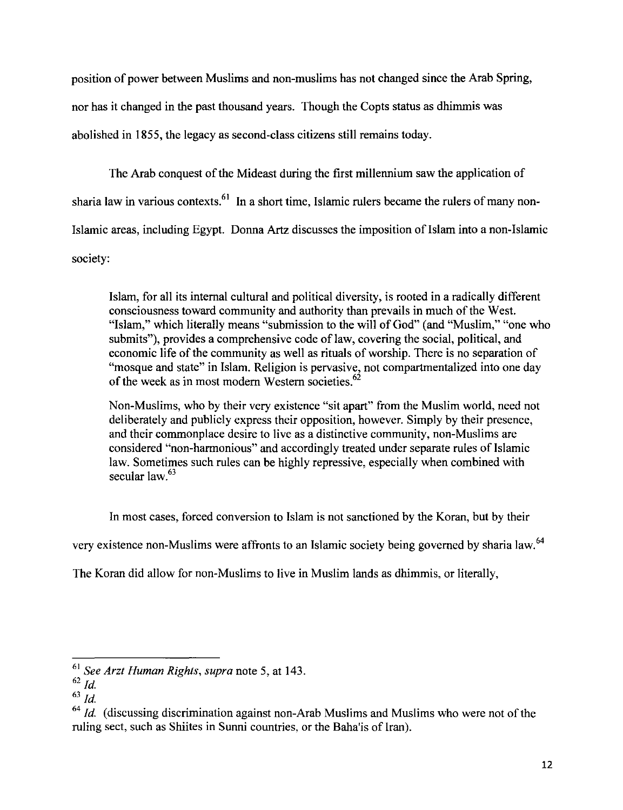position of power between Muslims and non-muslims has not changed since the Arab Spring, nor has it changed in the past thousand years. Though the Copts status as dhimmis was abolished in 1855, the legacy as second-class citizens still remains today.

The Arab conquest of the Mideast during the first millennium saw the application of sharia law in various contexts.<sup>61</sup> In a short time, Islamic rulers became the rulers of many non-Islamic areas, including Egypt. Donna Artz discusses the imposition of Islam into a non-Islamic society:

Islam, for all its internal cultural and political diversity, is rooted in a radically different consciousness toward community and authority than prevails in much of the West. "Islam," which literally means "submission to the will of God" (and "Muslim," "one who submits"), provides a comprehensive code of law, covering the social, political, and economic life of the community as well as rituals of worship. There is no separation of "mosque and state" in Islam. Religion is pervasive, not compartmentalized into one day of the week as in most modern Western societies.<sup>62</sup>

Non-Muslims, who by their very existence "sit apart" from the Muslim world, need not deliberately and publicly express their opposition, however. Simply by their presence, and their commonplace desire to live as a distinctive community, non-Muslims are considered "non-harmonious" and accordingly treated under separate rules of Islamic law. Sometimes such rules can be highly repressive, especially when combined with secular law. $63$ 

In most cases, forced conversion to Islam is not sanctioned by the Koran, but by their

very existence non-Muslims were affronts to an Islamic society being governed by sharia law.<sup>64</sup>

The Koran did allow for non-Muslims to live in Muslim lands as dhimmis, or literally,

<sup>61</sup>*See Arzt Human Rights, supra* note 5, at 143.

 $62$  *Id.* 

<sup>63</sup>*!d.* 

<sup>&</sup>lt;sup>64</sup> *Id.* (discussing discrimination against non-Arab Muslims and Muslims who were not of the ruling sect, such as Shiites in Sunni countries, or the Baha'is of Iran).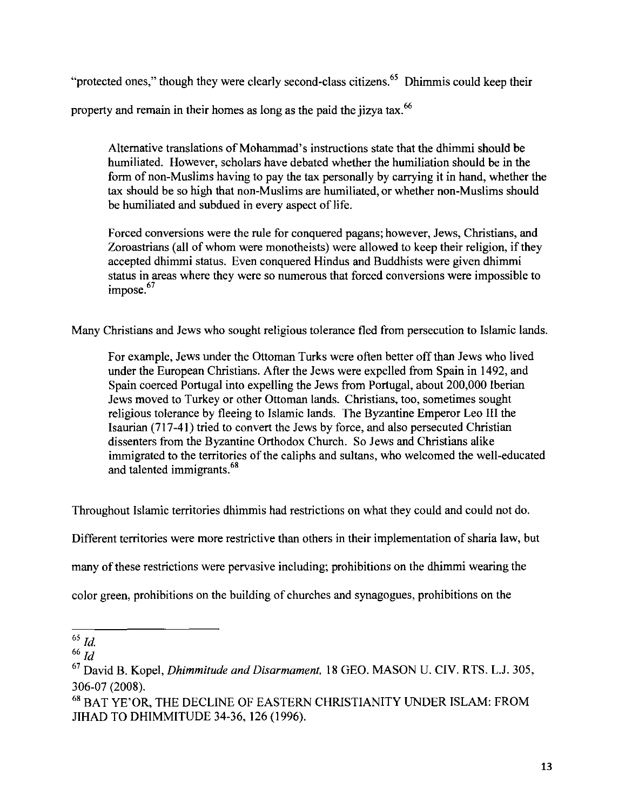"protected ones," though they were clearly second-class citizens.<sup>65</sup> Dhimmis could keep their

property and remain in their homes as long as the paid the jizya tax.<sup>66</sup>

Alternative translations of Mohammad's instructions state that the dhimmi should be humiliated. However, scholars have debated whether the humiliation should be in the form of non-Muslims having to pay the tax personally by carrying it in hand, whether the tax should be so high that non-Muslims are humiliated, or whether non-Muslims should be humiliated and subdued in every aspect of life.

Forced conversions were the rule for conquered pagans; however, Jews, Christians, and Zoroastrians (all of whom were monotheists) were allowed to keep their religion, if they accepted dhimmi status. Even conquered Hindus and Buddhists were given dhimmi status in areas where they were so numerous that forced conversions were impossible to impose.<sup>67</sup>

Many Christians and Jews who sought religious tolerance fled from persecution to Islamic lands.

For example, Jews under the Ottoman Turks were often better off than Jews who lived under the European Christians. After the Jews were expelled from Spain in 1492, and Spain coerced Portugal into expelling the Jews from Portugal, about 200,000 Iberian Jews moved to Turkey or other Ottoman lands. Christians, too, sometimes sought religious tolerance by fleeing to Islamic lands. The Byzantine Emperor Leo III the !saurian (717-41) tried to convert the Jews by force, and also persecuted Christian dissenters from the Byzantine Orthodox Church. So Jews and Christians alike immigrated to the territories of the caliphs and sultans, who welcomed the well-educated and talented immigrants.<sup>68</sup>

Throughout Islamic territories dhimmis had restrictions on what they could and could not do.

Different territories were more restrictive than others in their implementation of sharia law, but

many of these restrictions were pervasive including; prohibitions on the dhimmi wearing the

color green, prohibitions on the building of churches and synagogues, prohibitions on the

 $65$   $Id$ .

<sup>66</sup>*Id* 

<sup>67</sup> David B. Kopel, *Dhimmitude and Disarmament,* 18 GEO. MASON U. CIV. RTS. L.J. 305, 306-07 (2008).

<sup>68</sup> BAT YE'OR, THE DECLINE OF EASTERN CHRISTIANITY UNDER ISLAM: FROM JIHAD TO DHIMMITUDE 34-36, 126 (1996).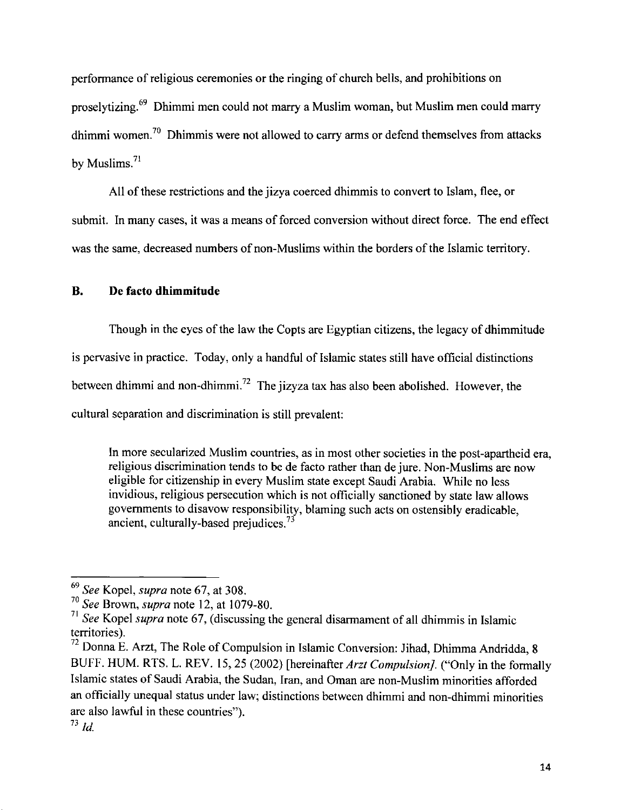performance of religious ceremonies or the ringing of church bells, and prohibitions on proselytizing.69 Dhimmi men could not marry a Muslim woman, but Muslim men could marry dhimmi women.<sup>70</sup> Dhimmis were not allowed to carry arms or defend themselves from attacks by Muslims. $71$ 

All of these restrictions and the jizya coerced dhimmis to convert to Islam, flee, or submit. In many cases, it was a means of forced conversion without direct force. The end effect was the same, decreased numbers of non-Muslims within the borders of the Islamic territory.

# **B. De facto dhimmitude**

Though in the eyes of the law the Copts are Egyptian citizens, the legacy of dhimmitude is pervasive in practice. Today, only a handful of Islamic states still have official distinctions between dhimmi and non-dhimmi.<sup>72</sup> The jizyza tax has also been abolished. However, the cultural separation and discrimination is still prevalent:

In more secularized Muslim countries, as in most other societies in the post -apartheid era, religious discrimination tends to be de facto rather than de jure. Non-Muslims are now eligible for citizenship in every Muslim state except Saudi Arabia. While no less invidious, religious persecution which is not officially sanctioned by state law allows governments to disavow responsibility, blaming such acts on ostensibly eradicable, ancient, culturally-based prejudices.<sup>73</sup>

<sup>69</sup>*See* Kopel, *supra* note 67, at 308.

<sup>70</sup>*See* Brown, *supra* note 12, at I 079-80.

<sup>71</sup>*See* Kopel *supra* note 67, (discussing the general disarmament of all dhimmis in Islamic territories).

 $72$  Donna E. Arzt, The Role of Compulsion in Islamic Conversion: Jihad, Dhimma Andridda, 8 BUFF. HUM. RTS. L. REV. 15,25 (2002) [hereinafter *Arzt Compulsion].* ("Only in the formally Islamic states of Saudi Arabia, the Sudan, Iran, and Oman are non-Muslim minorities afforded an officially unequal status under law; distinctions between dhimmi and non-dhimmi minorities are also lawful in these countries").

 $^{73}$  *Id.*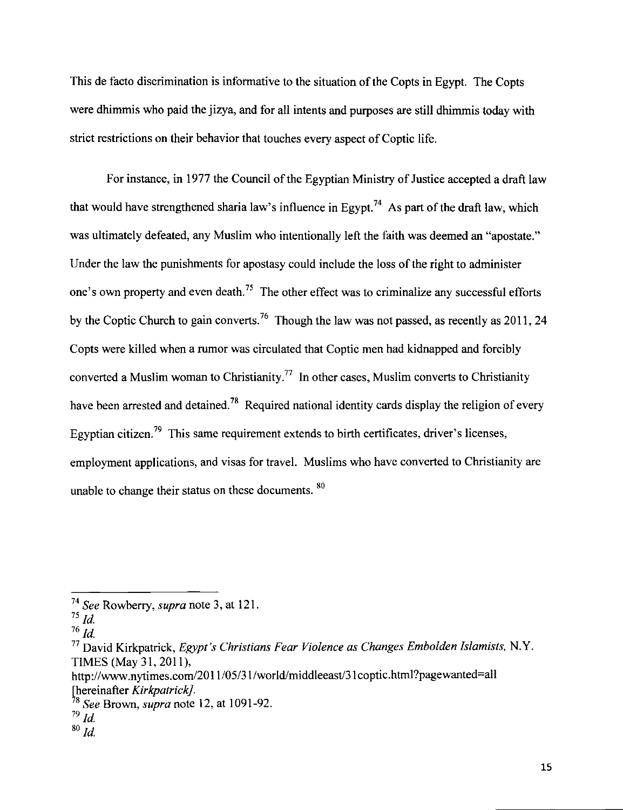This de facto discrimination is informative to the situation of the Copts in Egypt. The Copts were dhimmis who paid the jizya, and for all intents and purposes are still dhimmis today with strict restrictions on their behavior that touches every aspect of Coptic life.

For instance, in 1977 the Council of the Egyptian Ministry of Justice accepted a draft law that would have strengthened sharia law's influence in Egypt.<sup>74</sup> As part of the draft law, which was ultimately defeated, any Muslim who intentionally left the faith was deemed an "apostate." Under the law the punishments for apostasy could include the loss of the right to administer one's own property and even death.<sup>75</sup> The other effect was to criminalize any successful efforts by the Coptic Church to gain converts.<sup>76</sup> Though the law was not passed, as recently as 2011, 24 Copts were killed when a rumor was circulated that Coptic men had kidnapped and forcibly converted a Muslim woman to Christianity.<sup>77</sup> In other cases, Muslim converts to Christianity have been arrested and detained.<sup>78</sup> Required national identity cards display the religion of every Egyptian citizen.<sup>79</sup> This same requirement extends to birth certificates, driver's licenses, employment applications, and visas for travel. Muslims who have converted to Christianity are unable to change their status on these documents. <sup>80</sup>

 $^{76}$   $\overline{Id}$ .

<sup>74</sup>*See* Rowberry, *supra* note 3, at 121.

<sup>75</sup>*!d.* 

<sup>77</sup>David Kirkpatrick, *Egypt's Christians Fear Violence as Changes Embolden Islamists,* N.Y. TIMES (May 31, 2011),

http://www.nytimes.com/2011/05/31/world/middleeast/31 coptic.html?pagewanted=all [hereinafter *Kirkpatrick].* 

<sup>78</sup>*See* Brown, *supra* note 12, at 1091-92.

 $^{79}$  *Id.* 

 $80$   $ld.$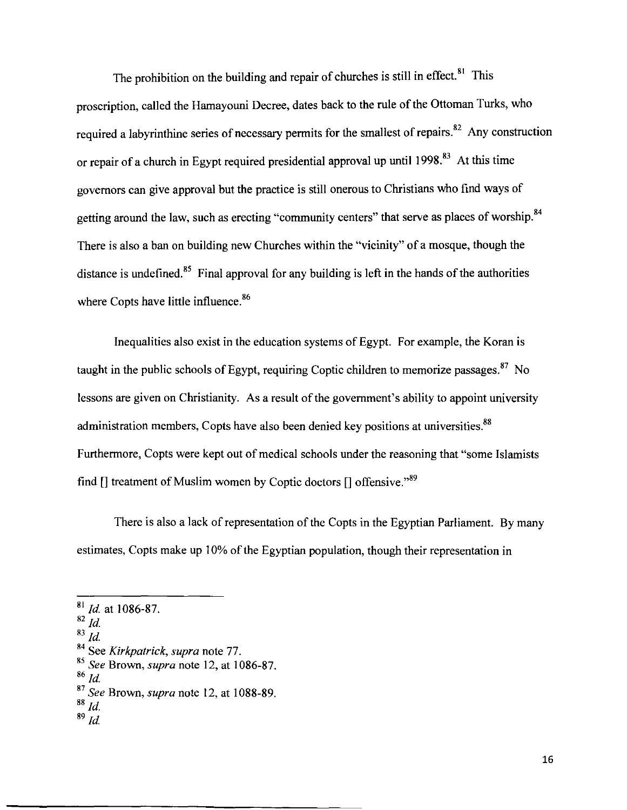The prohibition on the building and repair of churches is still in effect.<sup>81</sup> This proscription, called the Hamayouni Decree, dates back to the rule of the Ottoman Turks, who required a labyrinthine series of necessary permits for the smallest of repairs.<sup>82</sup> Any construction or repair of a church in Egypt required presidential approval up until 1998.<sup>83</sup> At this time governors can give approval but the practice is still onerous to Christians who find ways of getting around the law, such as erecting "community centers" that serve as places of worship.<sup>84</sup> There is also a ban on building new Churches within the "vicinity" of a mosque, though the distance is undefined.<sup>85</sup> Final approval for any building is left in the hands of the authorities where Copts have little influence.<sup>86</sup>

Inequalities also exist in the education systems of Egypt. For example, the Koran is taught in the public schools of Egypt, requiring Coptic children to memorize passages.  $87$  No lessons are given on Christianity. As a result of the government's ability to appoint university administration members, Copts have also been denied key positions at universities.<sup>88</sup> Furthermore, Copts were kept out of medical schools under the reasoning that "some Islamists find  $[$  treatment of Muslim women by Coptic doctors  $[$  offensive."<sup>89</sup>

There is also a lack of representation of the Copts in the Egyptian Parliament. By many estimates, Copts make up 10% of the Egyptian population, though their representation in

<sup>&</sup>lt;sup>81</sup> *Id.* at 1086-87.

 $\overline{82}$   $\overline{Id}$ .

 $\overline{^{83}$  *Id.* 

<sup>84</sup> See *Kirkpatrick, supra* note 77.

<sup>85</sup>*See* Brown, *supra* note 12, at 1086-87.

<sup>86</sup>*!d.* 

<sup>87</sup>*See* Brown, *supra* note 12, at 1088-89.

<sup>88</sup>*!d.* 

 $89$   $\dot{\rm{Id}}$ .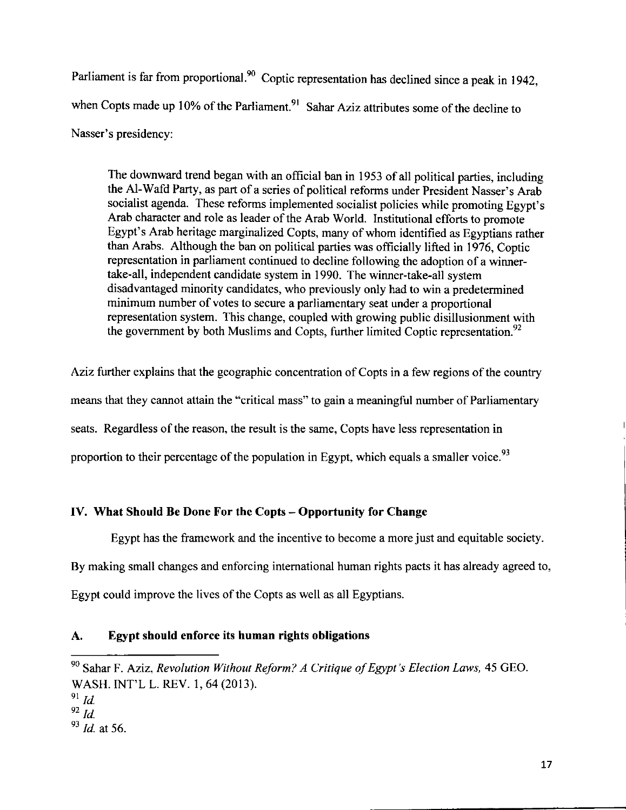Parliament is far from proportional.<sup>90</sup> Coptic representation has declined since a peak in 1942, when Copts made up 10% of the Parliament.<sup>91</sup> Sahar Aziz attributes some of the decline to Nasser's presidency:

The downward trend began with an official ban in 1953 of all political parties, including the Al-Wafd Party, as part of a series of political reforms under President Nasser's Arab socialist agenda. These reforms implemented socialist policies while promoting Egypt's Arab character and role as leader of the Arab World. Institutional efforts to promote Egypt's Arab heritage marginalized Copts, many of whom identified as Egyptians rather than Arabs. Although the ban on political parties was officially lifted in 1976, Coptic representation in parliament continued to decline following the adoption of a winnertake-all, independent candidate system in 1990. The winner-take-all system disadvantaged minority candidates, who previously only had to win a predetermined minimum number of votes to secure a parliamentary seat under a proportional representation system. This change, coupled with growing public disillusionment with the government by both Muslims and Copts, further limited Coptic representation.<sup>92</sup>

Aziz further explains that the geographic concentration of Copts in a few regions of the country means that they cannot attain the "critical mass" to gain a meaningful number of Parliamentary seats. Regardless of the reason, the result is the same, Copts have less representation in proportion to their percentage of the population in Egypt, which equals a smaller voice.<sup>93</sup>

# **IV. What Should Be Done For the Copts- Opportunity for Change**

Egypt has the framework and the incentive to become a more just and equitable society. By making small changes and enforcing international human rights pacts it has already agreed to, Egypt could improve the lives of the Copts as well as all Egyptians.

# **A. Egypt should enforce its human rights obligations**

<sup>90</sup> Sahar F. Aziz, *Revolution Without Reform? A Critique of Egypt's Election Laws,* 45 GEO. WASH. INT'L L. REV. 1, 64 (2013).

<sup>91</sup>*!d.* 

<sup>92</sup>*!d.* 

<sup>93</sup>*!d.* at 56.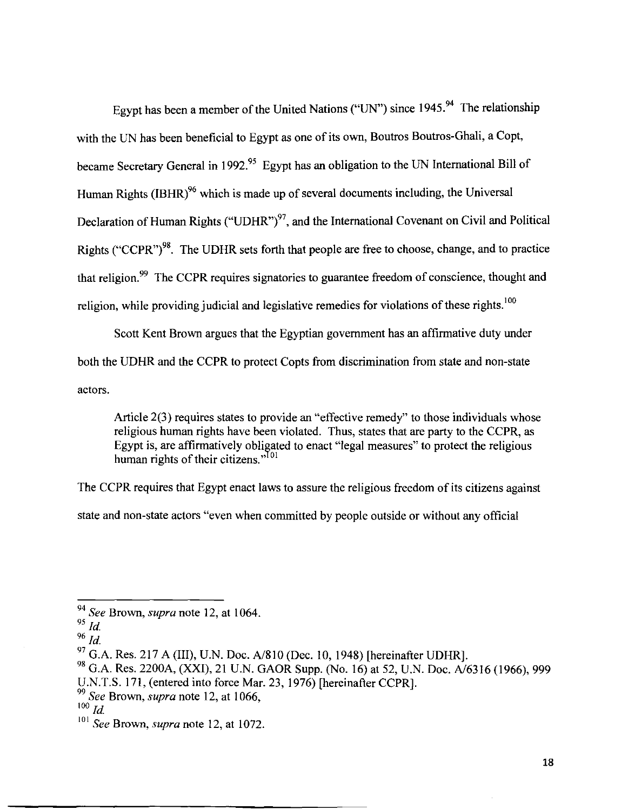Egypt has been a member of the United Nations ("UN") since 1945.<sup>94</sup> The relationship with the UN has been beneficial to Egypt as one of its own, Boutros Boutros-Ghali, a Copt, became Secretary General in 1992.<sup>95</sup> Egypt has an obligation to the UN International Bill of Human Rights (IBHR)<sup>96</sup> which is made up of several documents including, the Universal Declaration of Human Rights ("UDHR")<sup>97</sup>, and the International Covenant on Civil and Political Rights ("CCPR")<sup>98</sup>. The UDHR sets forth that people are free to choose, change, and to practice that religion.<sup>99</sup> The CCPR requires signatories to guarantee freedom of conscience, thought and religion, while providing judicial and legislative remedies for violations of these rights.<sup>100</sup>

Scott Kent Brown argues that the Egyptian government has an affirmative duty under both the UDHR and the CCPR to protect Copts from discrimination from state and non-state actors.

Article 2(3) requires states to provide an "effective remedy" to those individuals whose religious human rights have been violated. Thus, states that are party to the CCPR, as Egypt is, are affirmatively obligated to enact "legal measures" to protect the religious human rights of their citizens."  $\frac{101}{2}$ 

The CCPR requires that Egypt enact laws to assure the religious freedom of its citizens against

state and non-state actors "even when committed by people outside or without any official

<sup>94</sup>*See* Brown, *supra* note 12, at I 064.

<sup>&</sup>lt;sup>95</sup> *Id.* 

 $96$  *Id.* 

 $^{97}$  G.A. Res. 217 A (III), U.N. Doc. A/810 (Dec. 10, 1948) [hereinafter UDHR].

<sup>&</sup>lt;sup>98</sup> G.A. Res. 2200A, (XXI), 21 U.N. GAOR Supp. (No. 16) at 52, U.N. Doc. A/6316 (1966), 999

U.N.T.S. 171, (entered into force Mar. 23, 1976) [hereinafter CCPR].

<sup>99</sup>*See* Brown, *supra* note 12, at I 066,

 $100$ *Id.* 

<sup>101</sup>*See* Brown, *supra* note 12, at I 072.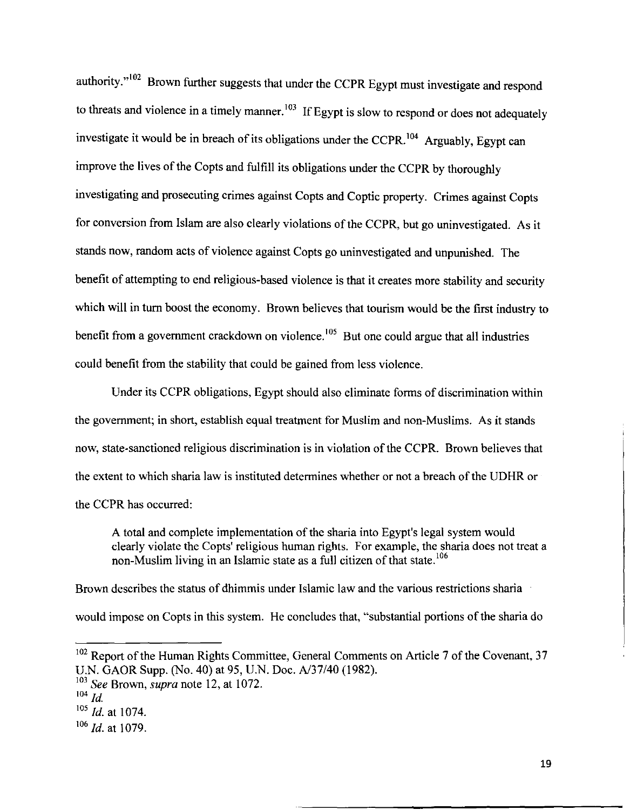authority."<sup>102</sup> Brown further suggests that under the CCPR Egypt must investigate and respond to threats and violence in a timely manner.<sup>103</sup> If Egypt is slow to respond or does not adequately investigate it would be in breach of its obligations under the CCPR.<sup>104</sup> Arguably, Egypt can improve the lives of the Copts and fulfill its obligations under the CCPR by thoroughly investigating and prosecuting crimes against Copts and Coptic property. Crimes against Copts for conversion from Islam are also clearly violations of the CCPR, but go uninvestigated. As it stands now, random acts of violence against Copts go uninvestigated and unpunished. The benefit of attempting to end religious-based violence is that it creates more stability and security which will in turn boost the economy. Brown believes that tourism would be the first industry to benefit from a government crackdown on violence.<sup>105</sup> But one could argue that all industries could benefit from the stability that could be gained from less violence.

Under its CCPR obligations, Egypt should also eliminate forms of discrimination within the government; in short, establish equal treatment for Muslim and non-Muslims. As it stands now, state-sanctioned religious discrimination is in violation of the CCPR. Brown believes that the extent to which sharia law is instituted determines whether or not a breach of the UDHR or the CCPR has occurred:

A total and complete implementation of the sharia into Egypt's legal system would clearly violate the Copts' religious human rights. For example, the sharia does not treat a non-Muslim living in an Islamic state as a full citizen of that state.<sup>106</sup>

Brown describes the status of dhimmis under Islamic law and the various restrictions sharia would impose on Copts in this system. He concludes that, "substantial portions of the sharia do

 $102$  Report of the Human Rights Committee, General Comments on Article 7 of the Covenant, 37 U.N. GAOR Supp. (No. 40) at 95, U.N. Doc. A/37/40 (1982).

<sup>&</sup>lt;sup>103</sup> See Brown, *supra* note 12, at 1072.

 $104$   $\overline{Id}$ .

<sup>&</sup>lt;sup>105</sup> *Id.* at 1074.

<sup>&</sup>lt;sup>106</sup> *Id.* at 1079.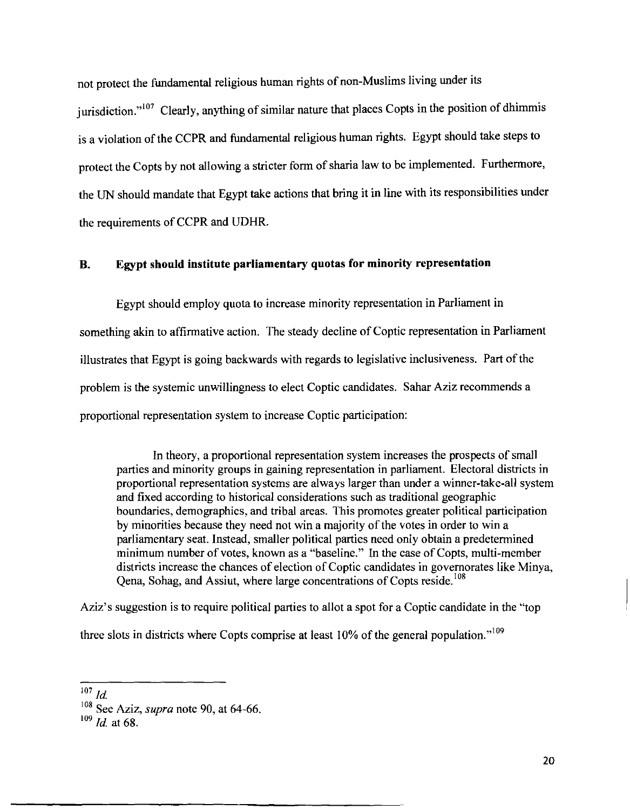not protect the fundamental religious human rights of non-Muslims living under its jurisdiction."<sup>107</sup> Clearly, anything of similar nature that places Copts in the position of dhimmis is a violation of the CCPR and fundamental religious human rights. Egypt should take steps to protect the Copts by not allowing a stricter form of sharia law to be implemented. Furthermore, the UN should mandate that Egypt take actions that bring it in line with its responsibilities under the requirements of CCPR and UDHR.

#### **B. Egypt should institute parliamentary quotas for minority representation**

Egypt should employ quota to increase minority representation in Parliament in something akin to affirmative action. The steady decline of Coptic representation in Parliament illustrates that Egypt is going backwards with regards to legislative inclusiveness. Part of the problem is the systemic unwillingness to elect Coptic candidates. Sahar Aziz recommends a proportional representation system to increase Coptic participation:

In theory, a proportional representation system increases the prospects of small parties and minority groups in gaining representation in parliament. Electoral districts in proportional representation systems are always larger than under a winner-take-all system and fixed according to historical considerations such as traditional geographic boundaries, demographics, and tribal areas. This promotes greater political participation by minorities because they need not win a majority of the votes in order to win a parliamentary seat. Instead, smaller political parties need only obtain a predetermined minimum number of votes, known as a "baseline." In the case of Copts, multi-member districts increase the chances of election of Coptic candidates in governorates like Minya, Qena, Sohag, and Assiut, where large concentrations of Copts reside.<sup>108</sup>

Aziz's suggestion is to require political parties to allot a spot for a Coptic candidate in the "top three slots in districts where Copts comprise at least 10% of the general population."<sup>109</sup>

 $\frac{1}{107}$  *ld.* 

<sup>108</sup> See Aziz, *supra* note 90, at 64-66.

<sup>109</sup>*ld.* at 68.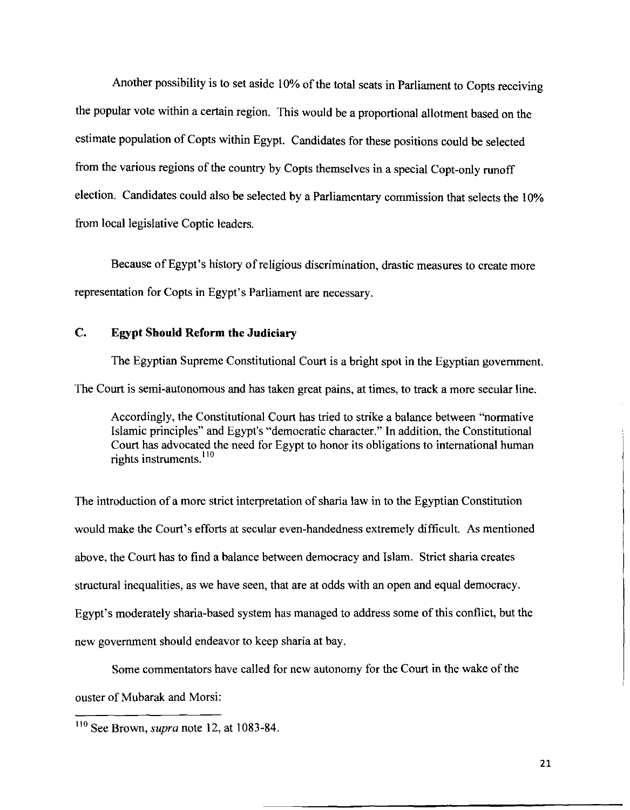Another possibility is to set aside 10% of the total seats in Parliament to Copts receiving the popular vote within a certain region. This would be a proportional allotment based on the estimate population of Copts within Egypt. Candidates for these positions could be selected from the various regions of the country by Copts themselves in a special Copt-only runoff election. Candidates could also be selected by a Parliamentary commission that selects the I 0% from local legislative Coptic leaders.

Because of Egypt's history of religious discrimination, drastic measures to create more representation for Copts in Egypt's Parliament are necessary.

# **C. Egypt Should Reform the Judiciary**

The Egyptian Supreme Constitutional Court is a bright spot in the Egyptian government. The Court is semi-autonomous and has taken great pains, at times, to track a more secular line.

Accordingly, the Constitutional Court has tried to strike a balance between "normative Islamic principles" and Egypt's "democratic character." In addition, the Constitutional Court has advocated the need for Egypt to honor its obligations to international human rights instruments. <sup>110</sup>

The introduction of a more strict interpretation of sharia law in to the Egyptian Constitution would make the Court's efforts at secular even-handedness extremely difficult. As mentioned above, the Court has to find a balance between democracy and Islam. Strict sharia creates structural inequalities, as we have seen, that are at odds with an open and equal democracy. Egypt's moderately sharia-based system has managed to address some ofthis conflict, but the new government should endeavor to keep sharia at bay.

Some commentators have called for new autonomy for the Court in the wake of the

ouster of Mubarak and Morsi:

<sup>&</sup>lt;sup>110</sup> See Brown, *supra* note 12, at 1083-84.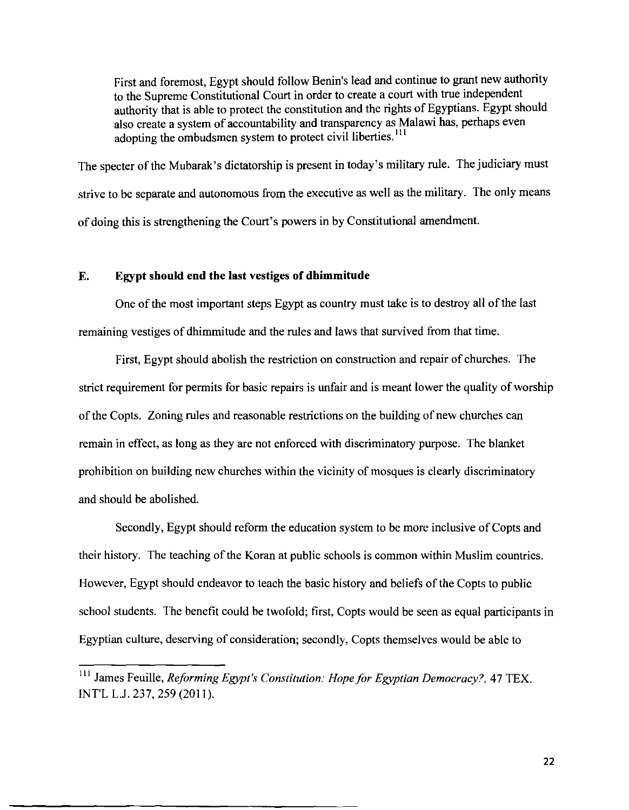First and foremost, Egypt should follow Benin's lead and continue to grant new authority to the Supreme Constitutional Court in order to create a court with true independent authority that is able to protect the constitution and the rights of Egyptians. Egypt should also create a system of accountability and transparency as Malawi has, perhaps even adopting the ombudsmen system to protect civil liberties.<sup>111</sup>

The specter of the Mubarak's dictatorship is present in today's military rule. The judiciary must strive to be separate and autonomous from the executive as well as the military. The only means of doing this is strengthening the Court's powers in by Constitutional amendment.

## **E. Egypt should end the last vestiges of dhimmitude**

One of the most important steps Egypt as country must take is to destroy all of the last remaining vestiges of dhimmitude and the rules and laws that survived from that time.

First, Egypt should abolish the restriction on construction and repair of churches. The strict requirement for permits for basic repairs is unfair and is meant lower the quality of worship of the Copts. Zoning rules and reasonable restrictions on the building of new churches can remain in effect, as long as they are not enforced with discriminatory purpose. The blanket prohibition on building new churches within the vicinity of mosques is clearly discriminatory and should be abolished.

Secondly, Egypt should reform the education system to be more inclusive of Copts and their history. The teaching of the Koran at public schools is common within Muslim countries. However, Egypt should endeavor to teach the basic history and beliefs of the Copts to public school students. The benefit could be twofold; first, Copts would be seen as equal participants in Egyptian culture, deserving of consideration; secondly, Copts themselves would be able to

<sup>111</sup> James Feuille, *Reforming Egypt's Constitution: Hope for Egyptian Democracy?,* 47 TEX. INT'L L.J. 237, 259 (2011).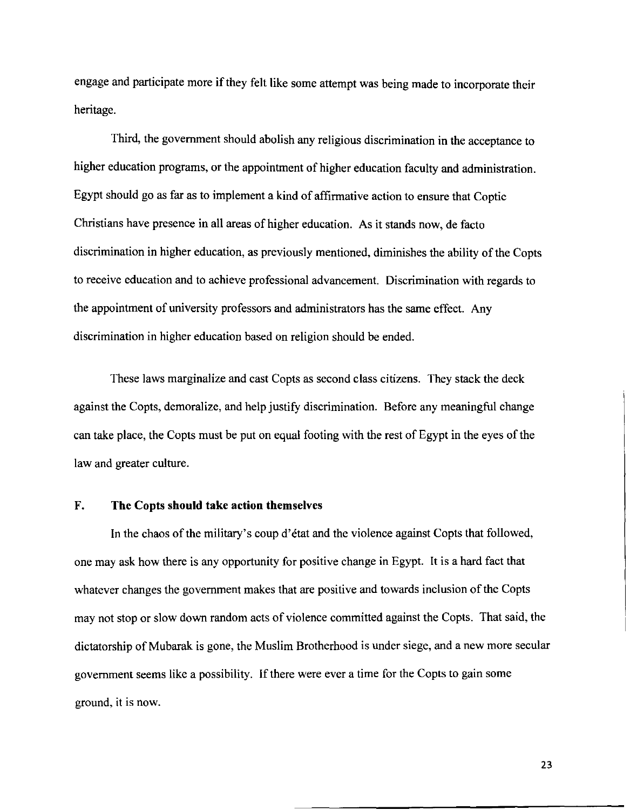engage and participate more if they felt like some attempt was being made to incorporate their heritage.

Third, the government should abolish any religious discrimination in the acceptance to higher education programs, or the appointment of higher education faculty and administration. Egypt should go as far as to implement a kind of affirmative action to ensure that Coptic Christians have presence in all areas of higher education. As it stands now, de facto discrimination in higher education, as previously mentioned, diminishes the ability of the Copts to receive education and to achieve professional advancement. Discrimination with regards to the appointment of university professors and administrators has the same effect. Any discrimination in higher education based on religion should be ended.

These laws marginalize and cast Copts as second class citizens. They stack the deck against the Copts, demoralize, and help justify discrimination. Before any meaningful change can take place, the Copts must be put on equal footing with the rest of Egypt in the eyes of the law and greater culture.

#### **F. The Copts should take action themselves**

In the chaos of the military's coup d'état and the violence against Copts that followed, one may ask how there is any opportunity for positive change in Egypt. It is a hard fact that whatever changes the government makes that are positive and towards inclusion of the Copts may not stop or slow down random acts of violence committed against the Copts. That said, the dictatorship of Mubarak is gone, the Muslim Brotherhood is under siege, and a new more secular government seems like a possibility. If there were ever a time for the Copts to gain some ground, it is now.

23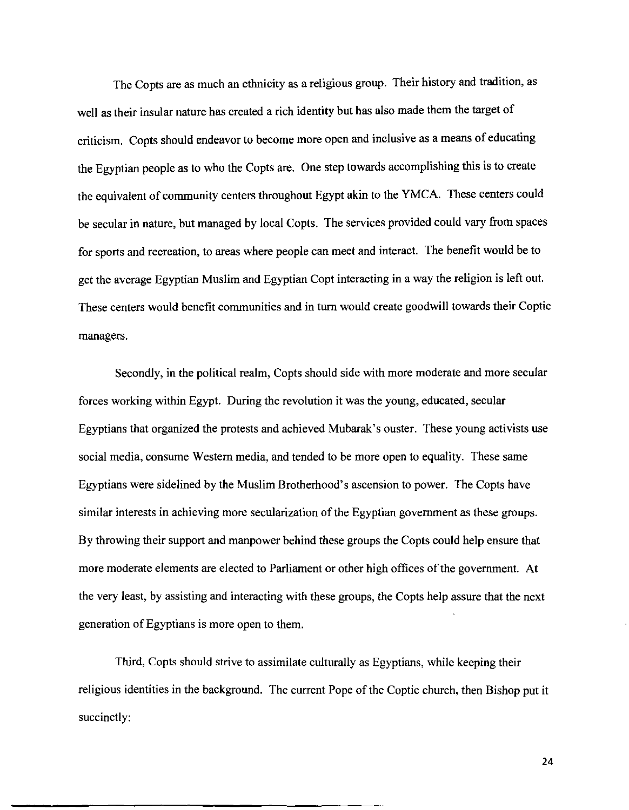The Copts are as much an ethnicity as a religious group. Their history and tradition, as well as their insular nature has created a rich identity but has also made them the target of criticism. Copts should endeavor to become more open and inclusive as a means of educating the Egyptian people as to who the Copts are. One step towards accomplishing this is to create the equivalent of community centers throughout Egypt akin to the YMCA. These centers could be secular in nature, but managed by local Copts. The services provided could vary from spaces for sports and recreation, to areas where people can meet and interact. The benefit would be to get the average Egyptian Muslim and Egyptian Copt interacting in a way the religion is left out. These centers would benefit communities and in turn would create goodwill towards their Coptic managers.

Secondly, in the political realm, Copts should side with more moderate and more secular forces working within Egypt. During the revolution it was the young, educated, secular Egyptians that organized the protests and achieved Mubarak' s ouster. These young activists use social media, consume Western media, and tended to be more open to equality. These same Egyptians were sidelined by the Muslim Brotherhood's ascension to power. The Copts have similar interests in achieving more secularization of the Egyptian government as these groups. By throwing their support and manpower behind these groups the Copts could help ensure that more moderate elements are elected to Parliament or other high offices of the government. At the very least, by assisting and interacting with these groups, the Copts help assure that the next generation of Egyptians is more open to them.

Third, Copts should strive to assimilate culturally as Egyptians, while keeping their religious identities in the background. The current Pope of the Coptic church, then Bishop put it succinctly:

24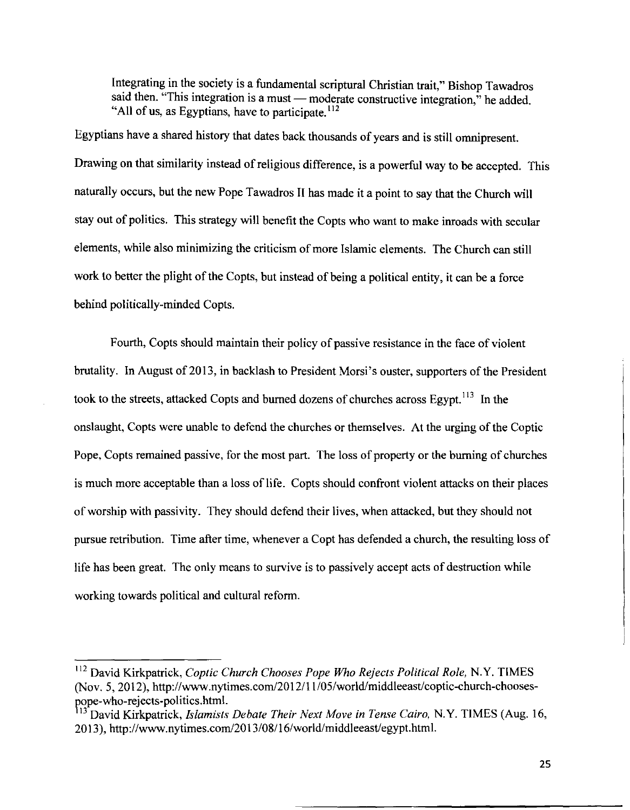Integrating in the society is a fundamental scriptural Christian trait," Bishop Tawadros said then. "This integration is a must — moderate constructive integration," he added. "All of us, as Egyptians, have to participate.  $112$ 

Egyptians have a shared history that dates back thousands of years and is still omnipresent. Drawing on that similarity instead of religious difference, is a powerful way to be accepted. This naturally occurs, but the new Pope Tawadros II has made it a point to say that the Church will stay out of politics. This strategy will benefit the Copts who want to make inroads with secular elements, while also minimizing the criticism of more Islamic elements. The Church can still work to better the plight of the Copts, but instead of being a political entity, it can be a force behind politically-minded Copts.

Fourth, Copts should maintain their policy of passive resistance in the face of violent brutality. In August of 2013, in backlash to President Morsi's ouster, supporters of the President took to the streets, attacked Copts and burned dozens of churches across Egypt.<sup>113</sup> In the onslaught, Copts were unable to defend the churches or themselves. At the urging of the Coptic Pope, Copts remained passive, for the most part. The loss of property or the burning of churches is much more acceptable than a loss of life. Copts should confront violent attacks on their places of worship with passivity. They should defend their lives, when attacked, but they should not pursue retribution. Time after time, whenever a Copt has defended a church, the resulting loss of life has been great. The only means to survive is to passively accept acts of destruction while working towards political and cultural reform.

<sup>112</sup> David Kirkpatrick, *Coptic Church Chooses Pope Who Rejects Political Role,* N.Y. TIMES (Nov. 5, 2012), http://www.nytimes.com/2012/11105/world/middleeast/coptic-church-choosespope-who-rejects-politics.html.

<sup>13</sup> David Kirkpatrick, *Islamists Debate Their Next Move* in *Tense Cairo,* N.Y. TIMES (Aug. 16, 2013 ), http://www.nytimes.com/20 13/08/16/world/middleeast/egypt.html.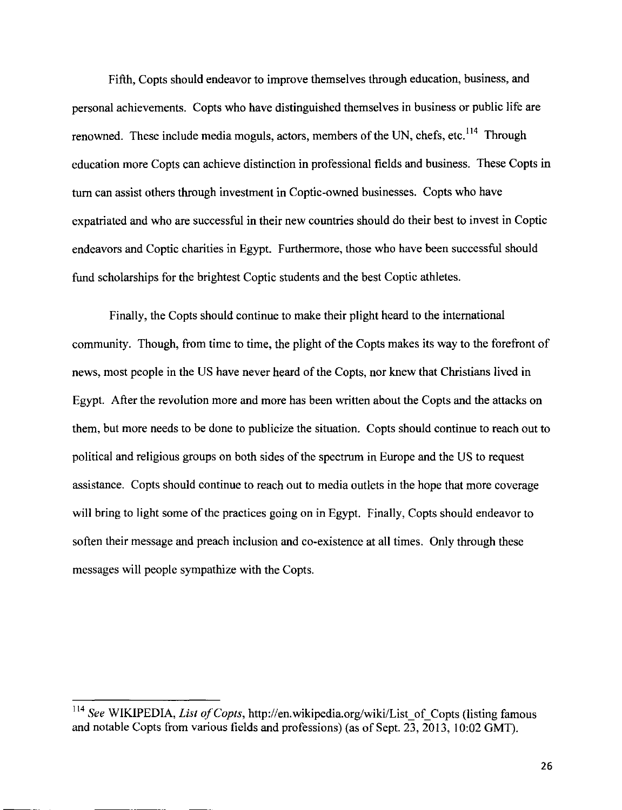Fifth, Copts should endeavor to improve themselves through education, business, and personal achievements. Copts who have distinguished themselves in business or public life are renowned. These include media moguls, actors, members of the UN, chefs, etc.<sup>114</sup> Through education more Copts can achieve distinction in professional fields and business. These Copts in tum can assist others through investment in Coptic-owned businesses. Copts who have expatriated and who are successful in their new countries should do their best to invest in Coptic endeavors and Coptic charities in Egypt. Furthermore, those who have been successful should fund scholarships for the brightest Coptic students and the best Coptic athletes.

Finally, the Copts should continue to make their plight heard to the international community. Though, from time to time, the plight of the Copts makes its way to the forefront of news, most people in the US have never heard of the Copts, nor knew that Christians lived in Egypt. After the revolution more and more has been written about the Copts and the attacks on them, but more needs to be done to publicize the situation. Copts should continue to reach out to political and religious groups on both sides of the spectrum in Europe and the US to request assistance. Copts should continue to reach out to media outlets in the hope that more coverage will bring to light some of the practices going on in Egypt. Finally, Copts should endeavor to soften their message and preach inclusion and co-existence at all times. Only through these messages will people sympathize with the Copts.

<sup>&</sup>lt;sup>114</sup> See WIKIPEDIA, *List of Copts*, http://en.wikipedia.org/wiki/List\_of\_Copts (listing famous and notable Copts from various fields and professions) (as of Sept. 23,2013, 10:02 GMT).